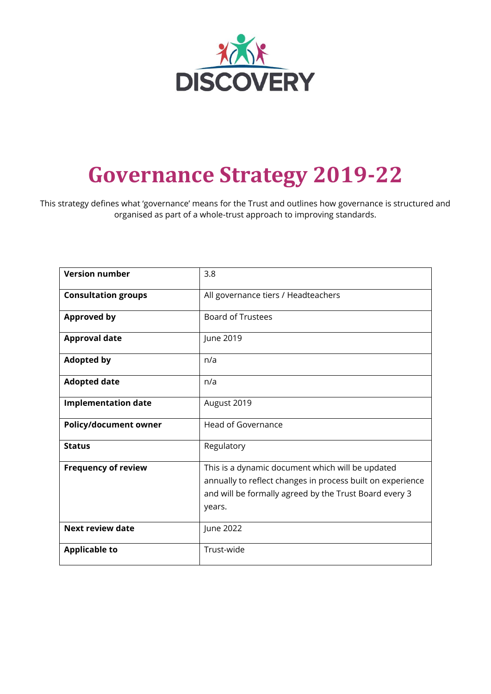

# **Governance Strategy 2019-22**

This strategy defines what 'governance' means for the Trust and outlines how governance is structured and organised as part of a whole-trust approach to improving standards.

| <b>Version number</b>        | 3.8                                                                                                                                                                                |  |  |
|------------------------------|------------------------------------------------------------------------------------------------------------------------------------------------------------------------------------|--|--|
| <b>Consultation groups</b>   | All governance tiers / Headteachers                                                                                                                                                |  |  |
| <b>Approved by</b>           | <b>Board of Trustees</b>                                                                                                                                                           |  |  |
| <b>Approval date</b>         | June 2019                                                                                                                                                                          |  |  |
| <b>Adopted by</b>            | n/a                                                                                                                                                                                |  |  |
| <b>Adopted date</b>          | n/a                                                                                                                                                                                |  |  |
| <b>Implementation date</b>   | August 2019                                                                                                                                                                        |  |  |
| <b>Policy/document owner</b> | <b>Head of Governance</b>                                                                                                                                                          |  |  |
| <b>Status</b>                | Regulatory                                                                                                                                                                         |  |  |
| <b>Frequency of review</b>   | This is a dynamic document which will be updated<br>annually to reflect changes in process built on experience<br>and will be formally agreed by the Trust Board every 3<br>years. |  |  |
| <b>Next review date</b>      | June 2022                                                                                                                                                                          |  |  |
| <b>Applicable to</b>         | Trust-wide                                                                                                                                                                         |  |  |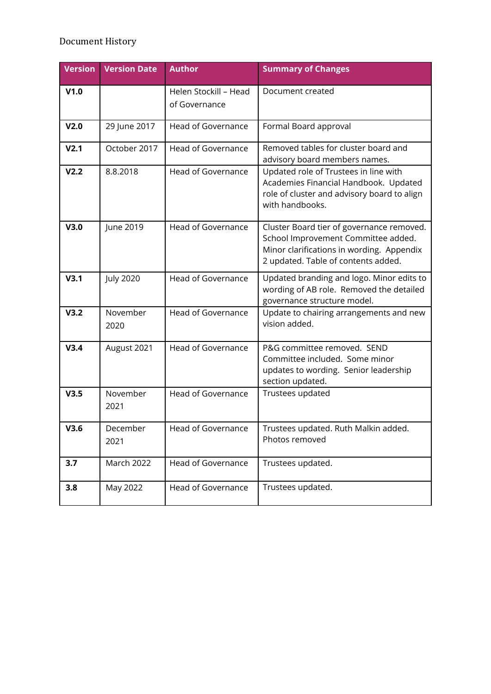# Document History

| <b>Version</b>   | <b>Version Date</b> | <b>Author</b>                          | <b>Summary of Changes</b>                                                                                                                                            |
|------------------|---------------------|----------------------------------------|----------------------------------------------------------------------------------------------------------------------------------------------------------------------|
| V1.0             |                     | Helen Stockill - Head<br>of Governance | Document created                                                                                                                                                     |
| V <sub>2.0</sub> | 29 June 2017        | <b>Head of Governance</b>              | Formal Board approval                                                                                                                                                |
| V <sub>2.1</sub> | October 2017        | Head of Governance                     | Removed tables for cluster board and<br>advisory board members names.                                                                                                |
| V <sub>2.2</sub> | 8.8.2018            | <b>Head of Governance</b>              | Updated role of Trustees in line with<br>Academies Financial Handbook. Updated<br>role of cluster and advisory board to align<br>with handbooks.                     |
| V3.0             | June 2019           | <b>Head of Governance</b>              | Cluster Board tier of governance removed.<br>School Improvement Committee added.<br>Minor clarifications in wording. Appendix<br>2 updated. Table of contents added. |
| V3.1             | <b>July 2020</b>    | <b>Head of Governance</b>              | Updated branding and logo. Minor edits to<br>wording of AB role. Removed the detailed<br>governance structure model.                                                 |
| V3.2             | November<br>2020    | <b>Head of Governance</b>              | Update to chairing arrangements and new<br>vision added.                                                                                                             |
| V3.4             | August 2021         | <b>Head of Governance</b>              | P&G committee removed. SEND<br>Committee included. Some minor<br>updates to wording. Senior leadership<br>section updated.                                           |
| V3.5             | November<br>2021    | <b>Head of Governance</b>              | Trustees updated                                                                                                                                                     |
| V3.6             | December<br>2021    | Head of Governance                     | Trustees updated. Ruth Malkin added.<br>Photos removed                                                                                                               |
| 3.7              | <b>March 2022</b>   | <b>Head of Governance</b>              | Trustees updated.                                                                                                                                                    |
| 3.8              | May 2022            | <b>Head of Governance</b>              | Trustees updated.                                                                                                                                                    |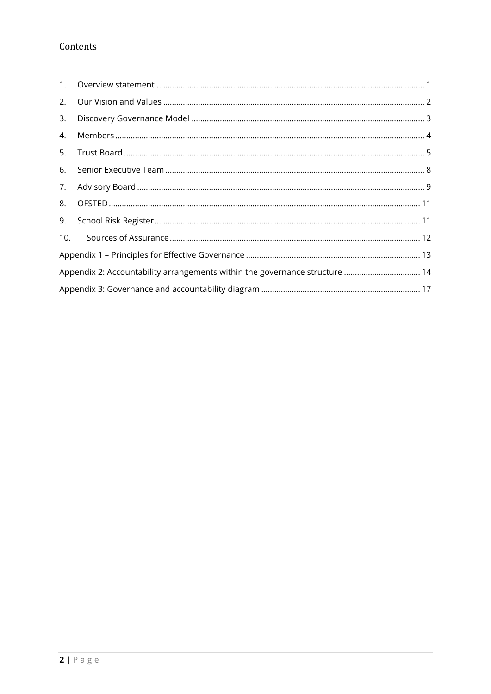# Contents

| 1.  |                                                                             |
|-----|-----------------------------------------------------------------------------|
| 2.  |                                                                             |
| 3.  |                                                                             |
| 4.  |                                                                             |
| 5.  |                                                                             |
| 6.  |                                                                             |
| 7.  |                                                                             |
| 8.  |                                                                             |
| 9.  |                                                                             |
| 10. |                                                                             |
|     |                                                                             |
|     | Appendix 2: Accountability arrangements within the governance structure  14 |
|     |                                                                             |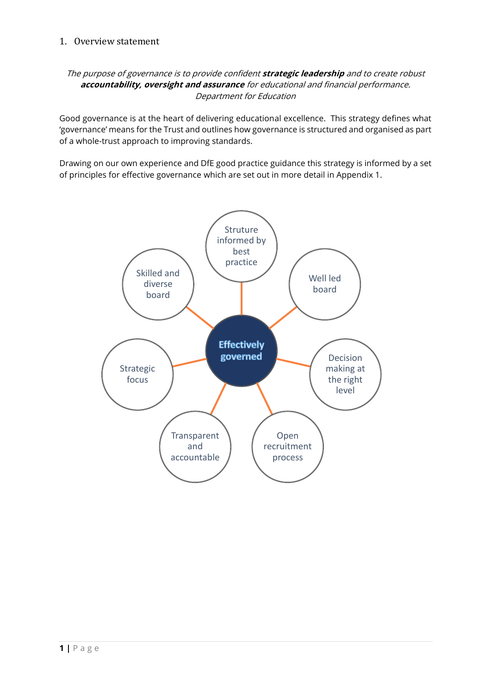## <span id="page-3-0"></span>1. Overview statement

## The purpose of governance is to provide confident **strategic leadership** and to create robust **accountability, oversight and assurance** for educational and financial performance. Department for Education

Good governance is at the heart of delivering educational excellence. This strategy defines what 'governance' means for the Trust and outlines how governance is structured and organised as part of a whole-trust approach to improving standards.

Drawing on our own experience and DfE good practice guidance this strategy is informed by a set of principles for effective governance which are set out in more detail in Appendix 1.

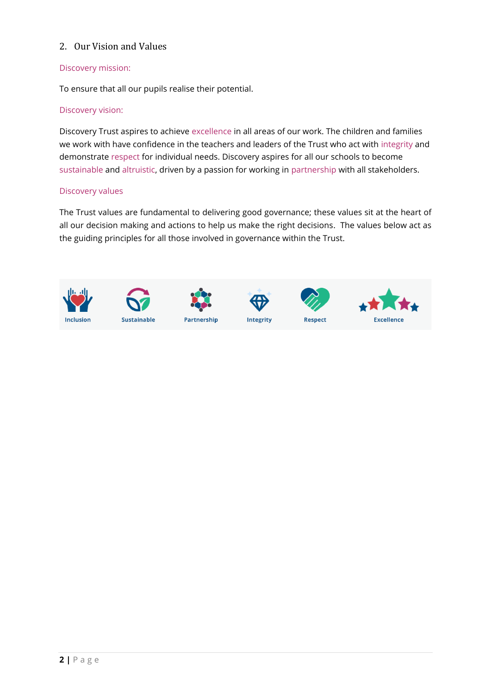## <span id="page-4-0"></span>2. Our Vision and Values

## Discovery mission:

To ensure that all our pupils realise their potential.

## Discovery vision:

Discovery Trust aspires to achieve excellence in all areas of our work. The children and families we work with have confidence in the teachers and leaders of the Trust who act with integrity and demonstrate respect for individual needs. Discovery aspires for all our schools to become sustainable and altruistic, driven by a passion for working in partnership with all stakeholders.

#### Discovery values

The Trust values are fundamental to delivering good governance; these values sit at the heart of all our decision making and actions to help us make the right decisions. The values below act as the guiding principles for all those involved in governance within the Trust.

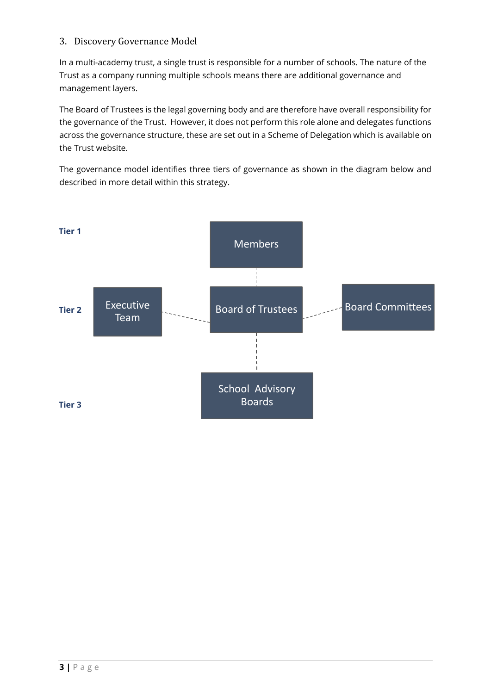## <span id="page-5-0"></span>3. Discovery Governance Model

In a multi-academy trust, a single trust is responsible for a number of schools. The nature of the Trust as a company running multiple schools means there are additional governance and management layers.

The Board of Trustees is the legal governing body and are therefore have overall responsibility for the governance of the Trust. However, it does not perform this role alone and delegates functions across the governance structure, these are set out in a Scheme of Delegation which is available on the Trust website.

The governance model identifies three tiers of governance as shown in the diagram below and described in more detail within this strategy.

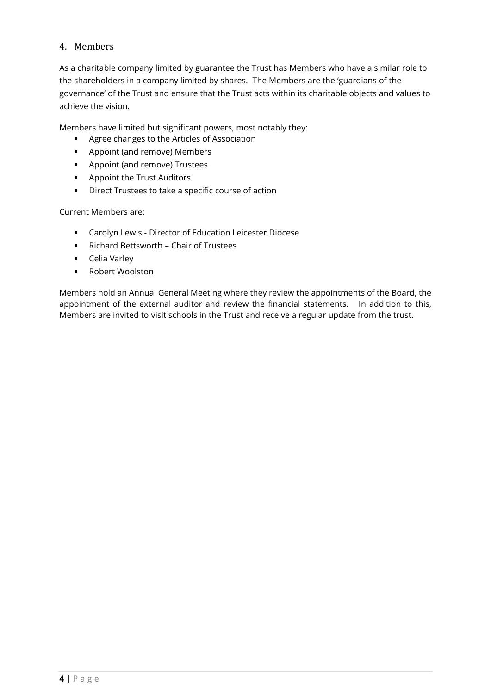## <span id="page-6-0"></span>4. Members

As a charitable company limited by guarantee the Trust has Members who have a similar role to the shareholders in a company limited by shares. The Members are the 'guardians of the governance' of the Trust and ensure that the Trust acts within its charitable objects and values to achieve the vision.

Members have limited but significant powers, most notably they:

- Agree changes to the Articles of Association
- Appoint (and remove) Members
- Appoint (and remove) Trustees
- Appoint the Trust Auditors
- Direct Trustees to take a specific course of action

Current Members are:

- Carolyn Lewis Director of Education Leicester Diocese
- Richard Bettsworth Chair of Trustees
- Celia Varley
- Robert Woolston

Members hold an Annual General Meeting where they review the appointments of the Board, the appointment of the external auditor and review the financial statements. In addition to this, Members are invited to visit schools in the Trust and receive a regular update from the trust.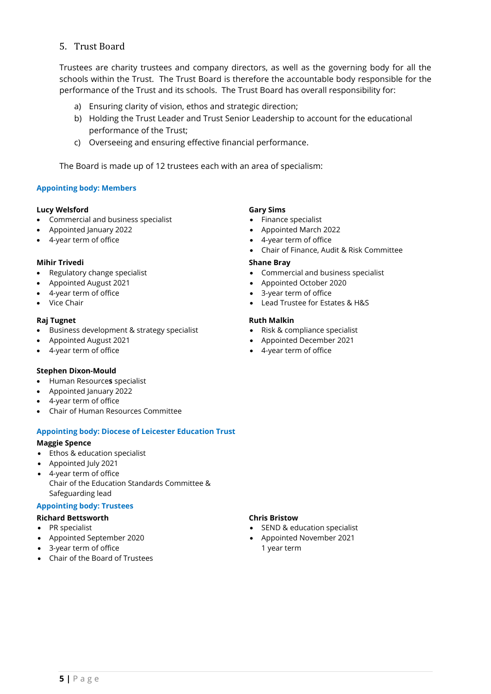## <span id="page-7-0"></span>5. Trust Board

Trustees are charity trustees and company directors, as well as the governing body for all the schools within the Trust. The Trust Board is therefore the accountable body responsible for the performance of the Trust and its schools. The Trust Board has overall responsibility for:

- a) Ensuring clarity of vision, ethos and strategic direction;
- b) Holding the Trust Leader and Trust Senior Leadership to account for the educational performance of the Trust;
- c) Overseeing and ensuring effective financial performance.

The Board is made up of 12 trustees each with an area of specialism:

#### **Appointing body: Members**

#### **Lucy Welsford**

- Commercial and business specialist
- Appointed January 2022
- 4-year term of office

#### **Mihir Trivedi**

- Regulatory change specialist
- Appointed August 2021
- 4-year term of office
- Vice Chair

#### **Raj Tugnet**

- Business development & strategy specialist
- Appointed August 2021
- 4-year term of office

#### **Stephen Dixon-Mould**

- Human Resource**s** specialist
- Appointed January 2022
- 4-year term of office
- Chair of Human Resources Committee

#### **Appointing body: Diocese of Leicester Education Trust**

#### **Maggie Spence**

- Ethos & education specialist
- Appointed July 2021
- 4-year term of office Chair of the Education Standards Committee & Safeguarding lead

#### **Appointing body: Trustees**

- **Richard Bettsworth**
- PR specialist
- Appointed September 2020
- 3-year term of office
- Chair of the Board of Trustees

#### **Gary Sims**

- Finance specialist
- Appointed March 2022
- 4-year term of office
- Chair of Finance, Audit & Risk Committee

#### **Shane Bray**

- Commercial and business specialist
- Appointed October 2020
- 3-year term of office
- Lead Trustee for Estates & H&S

#### **Ruth Malkin**

- Risk & compliance specialist
- Appointed December 2021
- 4-year term of office

#### **Chris Bristow**

- SEND & education specialist
- Appointed November 2021 1 year term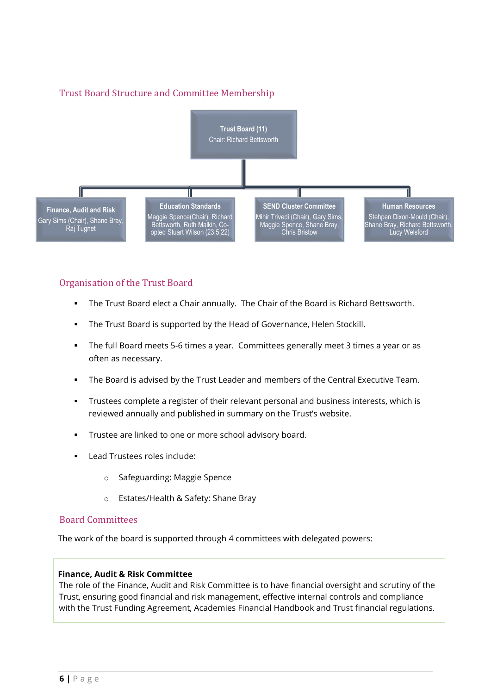# Trust Board Structure and Committee Membership



## Organisation of the Trust Board

- **•** The Trust Board elect a Chair annually. The Chair of the Board is Richard Bettsworth.
- The Trust Board is supported by the Head of Governance, Helen Stockill.
- **•** The full Board meets 5-6 times a year. Committees generally meet 3 times a year or as often as necessary.
- The Board is advised by the Trust Leader and members of the Central Executive Team.
- **EXECT** Trustees complete a register of their relevant personal and business interests, which is reviewed annually and published in summary on the Trust's website.
- Trustee are linked to one or more school advisory board.
- Lead Trustees roles include:
	- o Safeguarding: Maggie Spence
	- o Estates/Health & Safety: Shane Bray

## Board Committees

The work of the board is supported through 4 committees with delegated powers:

#### **Finance, Audit & Risk Committee**

The role of the Finance, Audit and Risk Committee is to have financial oversight and scrutiny of the Trust, ensuring good financial and risk management, effective internal controls and compliance with the Trust Funding Agreement, Academies Financial Handbook and Trust financial regulations.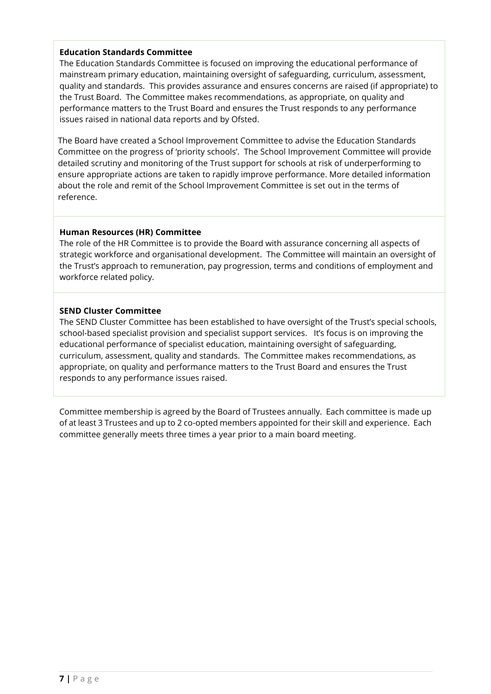## **Education Standards Committee**

The Education Standards Committee is focused on improving the educational performance of mainstream primary education, maintaining oversight of safeguarding, curriculum, assessment, quality and standards. This provides assurance and ensures concerns are raised (if appropriate) to the Trust Board. The Committee makes recommendations, as appropriate, on quality and performance matters to the Trust Board and ensures the Trust responds to any performance issues raised in national data reports and by Ofsted.

The Board have created a School Improvement Committee to advise the Education Standards Committee on the progress of 'priority schools'. The School Improvement Committee will provide detailed scrutiny and monitoring of the Trust support for schools at risk of underperforming to ensure appropriate actions are taken to rapidly improve performance. More detailed information about the role and remit of the School Improvement Committee is set out in the terms of reference.

## **Human Resources (HR) Committee**

The role of the HR Committee is to provide the Board with assurance concerning all aspects of strategic workforce and organisational development. The Committee will maintain an oversight of the Trust's approach to remuneration, pay progression, terms and conditions of employment and workforce related policy.

## **SEND Cluster Committee**

The SEND Cluster Committee has been established to have oversight of the Trust's special schools, school-based specialist provision and specialist support services. It's focus is on improving the educational performance of specialist education, maintaining oversight of safeguarding, curriculum, assessment, quality and standards. The Committee makes recommendations, as appropriate, on quality and performance matters to the Trust Board and ensures the Trust responds to any performance issues raised.

Committee membership is agreed by the Board of Trustees annually. Each committee is made up of at least 3 Trustees and up to 2 co-opted members appointed for their skill and experience. Each committee generally meets three times a year prior to a main board meeting.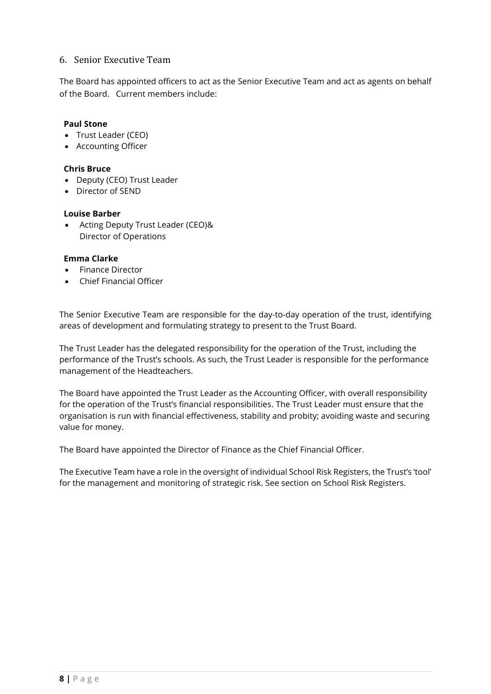## <span id="page-10-0"></span>6. Senior Executive Team

The Board has appointed officers to act as the Senior Executive Team and act as agents on behalf of the Board. Current members include:

## **Paul Stone**

- Trust Leader (CEO)
- Accounting Officer

#### **Chris Bruce**

- Deputy (CEO) Trust Leader
- Director of SEND

## **Louise Barber**

• Acting Deputy Trust Leader (CEO)& Director of Operations

## **Emma Clarke**

- Finance Director
- Chief Financial Officer

The Senior Executive Team are responsible for the day-to-day operation of the trust, identifying areas of development and formulating strategy to present to the Trust Board.

The Trust Leader has the delegated responsibility for the operation of the Trust, including the performance of the Trust's schools. As such, the Trust Leader is responsible for the performance management of the Headteachers.

The Board have appointed the Trust Leader as the Accounting Officer, with overall responsibility for the operation of the Trust's financial responsibilities. The Trust Leader must ensure that the organisation is run with financial effectiveness, stability and probity; avoiding waste and securing value for money.

The Board have appointed the Director of Finance as the Chief Financial Officer.

The Executive Team have a role in the oversight of individual School Risk Registers, the Trust's 'tool' for the management and monitoring of strategic risk. See section on School Risk Registers.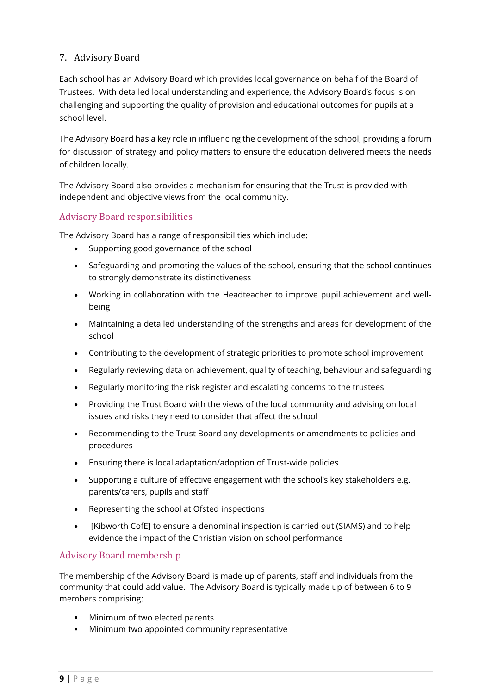## <span id="page-11-0"></span>7. Advisory Board

Each school has an Advisory Board which provides local governance on behalf of the Board of Trustees. With detailed local understanding and experience, the Advisory Board's focus is on challenging and supporting the quality of provision and educational outcomes for pupils at a school level.

The Advisory Board has a key role in influencing the development of the school, providing a forum for discussion of strategy and policy matters to ensure the education delivered meets the needs of children locally.

The Advisory Board also provides a mechanism for ensuring that the Trust is provided with independent and objective views from the local community.

## Advisory Board responsibilities

The Advisory Board has a range of responsibilities which include:

- Supporting good governance of the school
- Safeguarding and promoting the values of the school, ensuring that the school continues to strongly demonstrate its distinctiveness
- Working in collaboration with the Headteacher to improve pupil achievement and wellbeing
- Maintaining a detailed understanding of the strengths and areas for development of the school
- Contributing to the development of strategic priorities to promote school improvement
- Regularly reviewing data on achievement, quality of teaching, behaviour and safeguarding
- Regularly monitoring the risk register and escalating concerns to the trustees
- Providing the Trust Board with the views of the local community and advising on local issues and risks they need to consider that affect the school
- Recommending to the Trust Board any developments or amendments to policies and procedures
- Ensuring there is local adaptation/adoption of Trust-wide policies
- Supporting a culture of effective engagement with the school's key stakeholders e.g. parents/carers, pupils and staff
- Representing the school at Ofsted inspections
- [Kibworth CofE] to ensure a denominal inspection is carried out (SIAMS) and to help evidence the impact of the Christian vision on school performance

## Advisory Board membership

The membership of the Advisory Board is made up of parents, staff and individuals from the community that could add value. The Advisory Board is typically made up of between 6 to 9 members comprising:

- **■** Minimum of two elected parents
- **■** Minimum two appointed community representative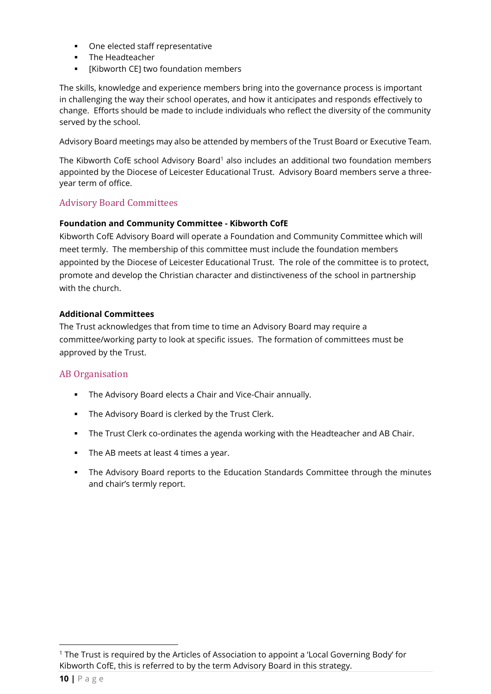- One elected staff representative
- The Headteacher
- [Kibworth CE] two foundation members

The skills, knowledge and experience members bring into the governance process is important in challenging the way their school operates, and how it anticipates and responds effectively to change. Efforts should be made to include individuals who reflect the diversity of the community served by the school.

Advisory Board meetings may also be attended by members of the Trust Board or Executive Team.

The Kibworth CofE school Advisory Board<sup>1</sup> also includes an additional two foundation members appointed by the Diocese of Leicester Educational Trust. Advisory Board members serve a threeyear term of office.

## Advisory Board Committees

## **Foundation and Community Committee - Kibworth CofE**

Kibworth CofE Advisory Board will operate a Foundation and Community Committee which will meet termly. The membership of this committee must include the foundation members appointed by the Diocese of Leicester Educational Trust. The role of the committee is to protect, promote and develop the Christian character and distinctiveness of the school in partnership with the church.

## **Additional Committees**

The Trust acknowledges that from time to time an Advisory Board may require a committee/working party to look at specific issues. The formation of committees must be approved by the Trust.

## AB Organisation

- The Advisory Board elects a Chair and Vice-Chair annually.
- The Advisory Board is clerked by the Trust Clerk.
- **•** The Trust Clerk co-ordinates the agenda working with the Headteacher and AB Chair.
- The AB meets at least 4 times a year.
- **•** The Advisory Board reports to the Education Standards Committee through the minutes and chair's termly report.

<sup>1</sup> The Trust is required by the Articles of Association to appoint a 'Local Governing Body' for Kibworth CofE, this is referred to by the term Advisory Board in this strategy.

**<sup>10</sup> |** P a g e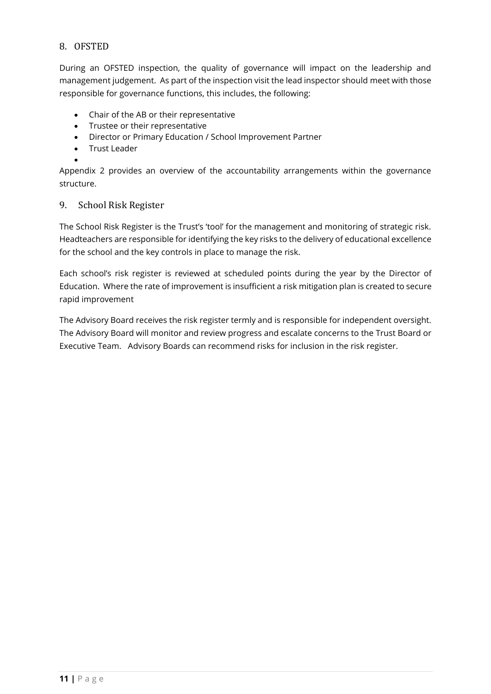## <span id="page-13-0"></span>8. OFSTED

During an OFSTED inspection, the quality of governance will impact on the leadership and management judgement. As part of the inspection visit the lead inspector should meet with those responsible for governance functions, this includes, the following:

- Chair of the AB or their representative
- Trustee or their representative
- Director or Primary Education / School Improvement Partner
- Trust Leader
- •

Appendix 2 provides an overview of the accountability arrangements within the governance structure.

## <span id="page-13-1"></span>9. School Risk Register

The School Risk Register is the Trust's 'tool' for the management and monitoring of strategic risk. Headteachers are responsible for identifying the key risks to the delivery of educational excellence for the school and the key controls in place to manage the risk.

Each school's risk register is reviewed at scheduled points during the year by the Director of Education. Where the rate of improvement is insufficient a risk mitigation plan is created to secure rapid improvement

The Advisory Board receives the risk register termly and is responsible for independent oversight. The Advisory Board will monitor and review progress and escalate concerns to the Trust Board or Executive Team. Advisory Boards can recommend risks for inclusion in the risk register.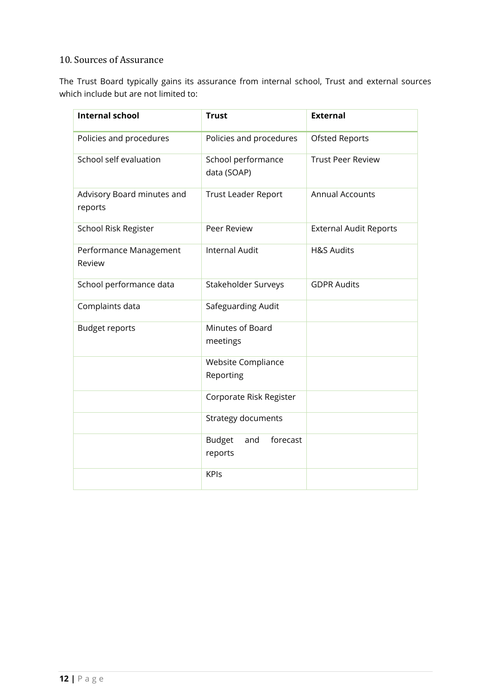# <span id="page-14-0"></span>10. Sources of Assurance

The Trust Board typically gains its assurance from internal school, Trust and external sources which include but are not limited to:

| <b>Internal school</b>                | <b>Trust</b>                                | <b>External</b>               |
|---------------------------------------|---------------------------------------------|-------------------------------|
| Policies and procedures               | Policies and procedures                     | <b>Ofsted Reports</b>         |
| School self evaluation                | School performance<br>data (SOAP)           | <b>Trust Peer Review</b>      |
| Advisory Board minutes and<br>reports | <b>Trust Leader Report</b>                  | <b>Annual Accounts</b>        |
| School Risk Register                  | Peer Review                                 | <b>External Audit Reports</b> |
| Performance Management<br>Review      | <b>Internal Audit</b>                       | <b>H&amp;S Audits</b>         |
| School performance data               | Stakeholder Surveys                         | <b>GDPR Audits</b>            |
| Complaints data                       | Safeguarding Audit                          |                               |
| <b>Budget reports</b>                 | Minutes of Board<br>meetings                |                               |
|                                       | Website Compliance<br>Reporting             |                               |
|                                       | Corporate Risk Register                     |                               |
|                                       | <b>Strategy documents</b>                   |                               |
|                                       | <b>Budget</b><br>forecast<br>and<br>reports |                               |
|                                       | <b>KPIs</b>                                 |                               |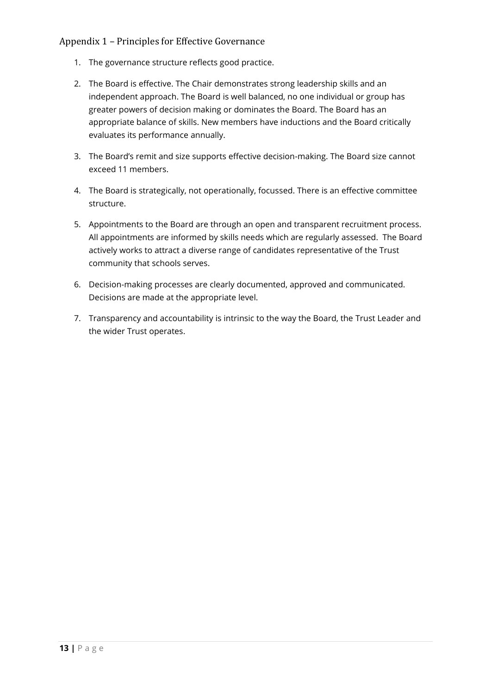## <span id="page-15-0"></span>Appendix 1 – Principles for Effective Governance

- 1. The governance structure reflects good practice.
- 2. The Board is effective. The Chair demonstrates strong leadership skills and an independent approach. The Board is well balanced, no one individual or group has greater powers of decision making or dominates the Board. The Board has an appropriate balance of skills. New members have inductions and the Board critically evaluates its performance annually.
- 3. The Board's remit and size supports effective decision-making. The Board size cannot exceed 11 members.
- 4. The Board is strategically, not operationally, focussed. There is an effective committee structure.
- 5. Appointments to the Board are through an open and transparent recruitment process. All appointments are informed by skills needs which are regularly assessed. The Board actively works to attract a diverse range of candidates representative of the Trust community that schools serves.
- 6. Decision-making processes are clearly documented, approved and communicated. Decisions are made at the appropriate level.
- 7. Transparency and accountability is intrinsic to the way the Board, the Trust Leader and the wider Trust operates.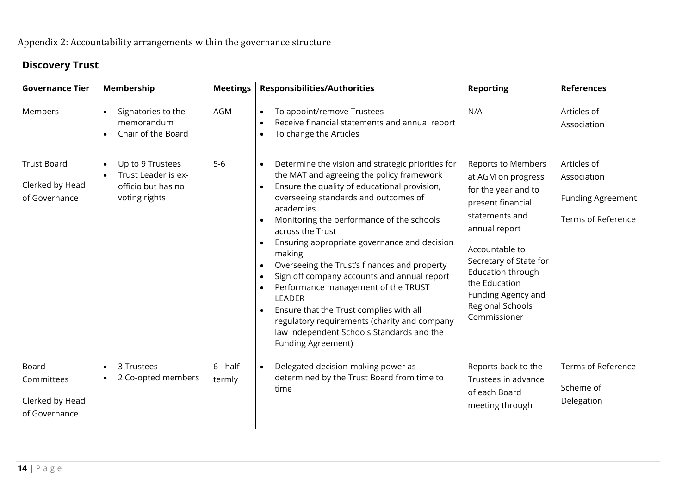<span id="page-16-0"></span>

| <b>Discovery Trust</b>                                  |                                                                                  |                       |                                                                                                                                                                                                                                                                                                                                                                                                                                                     |                                                                                                                                                                                           |                                               |
|---------------------------------------------------------|----------------------------------------------------------------------------------|-----------------------|-----------------------------------------------------------------------------------------------------------------------------------------------------------------------------------------------------------------------------------------------------------------------------------------------------------------------------------------------------------------------------------------------------------------------------------------------------|-------------------------------------------------------------------------------------------------------------------------------------------------------------------------------------------|-----------------------------------------------|
| <b>Governance Tier</b>                                  | Membership                                                                       | <b>Meetings</b>       | <b>Responsibilities/Authorities</b>                                                                                                                                                                                                                                                                                                                                                                                                                 | <b>Reporting</b>                                                                                                                                                                          | <b>References</b>                             |
| Members                                                 | Signatories to the<br>$\bullet$<br>memorandum<br>Chair of the Board<br>$\bullet$ | AGM                   | To appoint/remove Trustees<br>Receive financial statements and annual report<br>To change the Articles                                                                                                                                                                                                                                                                                                                                              | N/A                                                                                                                                                                                       | Articles of<br>Association                    |
| <b>Trust Board</b>                                      | Up to 9 Trustees<br>$\bullet$<br>Trust Leader is ex-<br>$\bullet$                | $5-6$                 | Determine the vision and strategic priorities for<br>$\bullet$<br>the MAT and agreeing the policy framework                                                                                                                                                                                                                                                                                                                                         | Reports to Members                                                                                                                                                                        | Articles of                                   |
| Clerked by Head<br>of Governance                        | officio but has no<br>voting rights                                              |                       | Ensure the quality of educational provision,<br>overseeing standards and outcomes of<br>academies                                                                                                                                                                                                                                                                                                                                                   | at AGM on progress<br>for the year and to<br>present financial                                                                                                                            | Association<br><b>Funding Agreement</b>       |
|                                                         |                                                                                  |                       | Monitoring the performance of the schools<br>across the Trust<br>Ensuring appropriate governance and decision<br>making<br>Overseeing the Trust's finances and property<br>Sign off company accounts and annual report<br>Performance management of the TRUST<br><b>LEADER</b><br>Ensure that the Trust complies with all<br>regulatory requirements (charity and company<br>law Independent Schools Standards and the<br><b>Funding Agreement)</b> | statements and<br>annual report<br>Accountable to<br>Secretary of State for<br><b>Education through</b><br>the Education<br>Funding Agency and<br><b>Regional Schools</b><br>Commissioner | Terms of Reference                            |
| Board<br>Committees<br>Clerked by Head<br>of Governance | 3 Trustees<br>$\bullet$<br>2 Co-opted members<br>$\bullet$                       | $6 - half-$<br>termly | Delegated decision-making power as<br>$\bullet$<br>determined by the Trust Board from time to<br>time                                                                                                                                                                                                                                                                                                                                               | Reports back to the<br>Trustees in advance<br>of each Board<br>meeting through                                                                                                            | Terms of Reference<br>Scheme of<br>Delegation |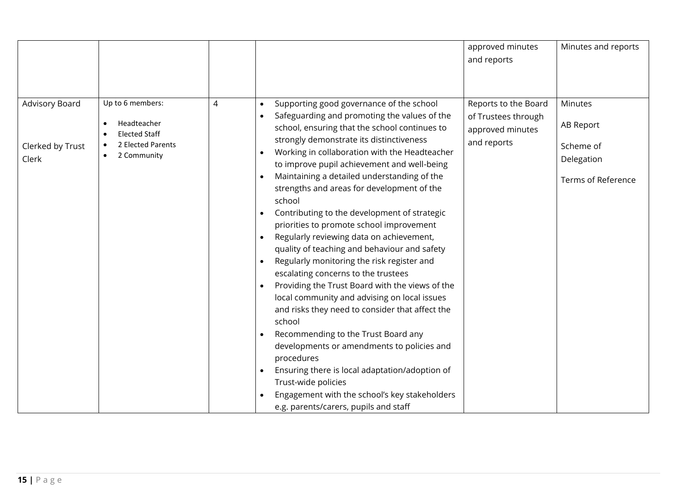|                                                    |                                                                                             |   |                                                                                                                                                                                                                                                                                                                                                                                                                                                                                                                                                                                                                                                                                                                                                                                                                                                                                                                                                                                                                                                                                                                              | approved minutes<br>and reports                                                | Minutes and reports                                                          |
|----------------------------------------------------|---------------------------------------------------------------------------------------------|---|------------------------------------------------------------------------------------------------------------------------------------------------------------------------------------------------------------------------------------------------------------------------------------------------------------------------------------------------------------------------------------------------------------------------------------------------------------------------------------------------------------------------------------------------------------------------------------------------------------------------------------------------------------------------------------------------------------------------------------------------------------------------------------------------------------------------------------------------------------------------------------------------------------------------------------------------------------------------------------------------------------------------------------------------------------------------------------------------------------------------------|--------------------------------------------------------------------------------|------------------------------------------------------------------------------|
| <b>Advisory Board</b><br>Clerked by Trust<br>Clerk | Up to 6 members:<br>Headteacher<br><b>Elected Staff</b><br>2 Elected Parents<br>2 Community | 4 | Supporting good governance of the school<br>Safeguarding and promoting the values of the<br>school, ensuring that the school continues to<br>strongly demonstrate its distinctiveness<br>Working in collaboration with the Headteacher<br>to improve pupil achievement and well-being<br>Maintaining a detailed understanding of the<br>strengths and areas for development of the<br>school<br>Contributing to the development of strategic<br>priorities to promote school improvement<br>Regularly reviewing data on achievement,<br>$\bullet$<br>quality of teaching and behaviour and safety<br>Regularly monitoring the risk register and<br>escalating concerns to the trustees<br>Providing the Trust Board with the views of the<br>local community and advising on local issues<br>and risks they need to consider that affect the<br>school<br>Recommending to the Trust Board any<br>developments or amendments to policies and<br>procedures<br>Ensuring there is local adaptation/adoption of<br>Trust-wide policies<br>Engagement with the school's key stakeholders<br>e.g. parents/carers, pupils and staff | Reports to the Board<br>of Trustees through<br>approved minutes<br>and reports | <b>Minutes</b><br>AB Report<br>Scheme of<br>Delegation<br>Terms of Reference |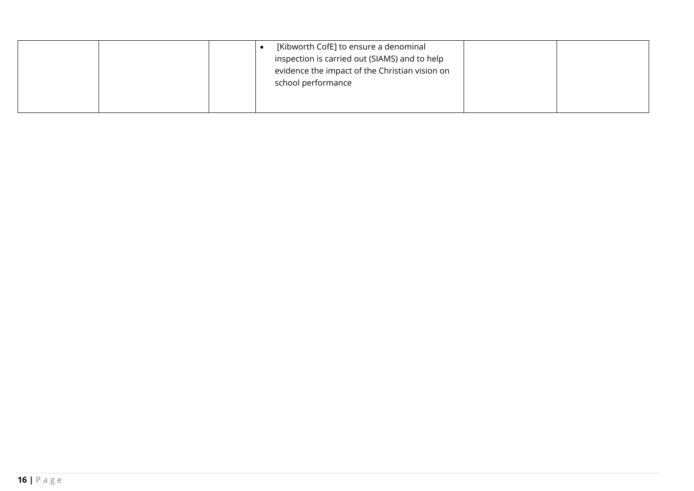| [Kibworth CofE] to ensure a denominal<br>inspection is carried out (SIAMS) and to help<br>evidence the impact of the Christian vision on<br>school performance |  |
|----------------------------------------------------------------------------------------------------------------------------------------------------------------|--|
|                                                                                                                                                                |  |